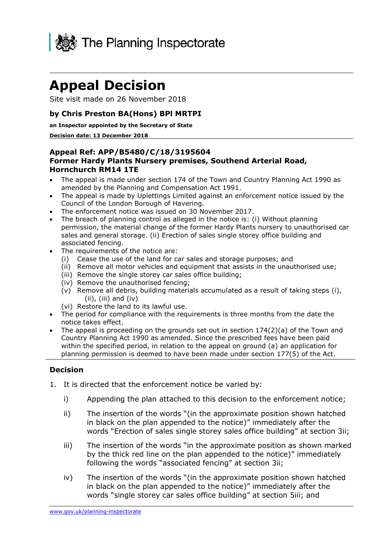

## **Appeal Decision**

Site visit made on 26 November 2018

## **by Chris Preston BA(Hons) BPl MRTPI**

 **an Inspector appointed by the Secretary of State** 

#### **Decision date: 13 December 2018**

## **Former Hardy Plants Nursery premises, Southend Arterial Road, Hornchurch RM14 1TE Appeal Ref: APP/B5480/C/18/3195604**

- The appeal is made under section 174 of the Town and Country Planning Act 1990 as amended by the Planning and Compensation Act 1991.
- The appeal is made by Uplettings Limited against an enforcement notice issued by the Council of the London Borough of Havering.
- The enforcement notice was issued on 30 November 2017.
- The breach of planning control as alleged in the notice is: (i) Without planning permission, the material change of the former Hardy Plants nursery to unauthorised car sales and general storage. (ii) Erection of sales single storey office building and associated fencing.
- The requirements of the notice are:
- The requirements of the notice are:<br>(i) Cease the use of the land for car sales and storage purposes; and
	- (ii) Remove all motor vehicles and equipment that assists in the unauthorised use;
	- (iii) Remove the single storey car sales office building;
	- (iv) Remove the unauthorised fencing;
	- (v) Remove all debris, building materials accumulated as a result of taking steps (i), (ii), (iii) and (iv)
	- (vi) Restore the land to its lawful use.
- The period for compliance with the requirements is three months from the date the notice takes effect.
- The appeal is proceeding on the grounds set out in section  $174(2)(a)$  of the Town and Country Planning Act 1990 as amended. Since the prescribed fees have been paid within the specified period, in relation to the appeal on ground (a) an application for planning permission is deemed to have been made under section 177(5) of the Act.

## **Decision**

- 1. It is directed that the enforcement notice be varied by:
	- i) Appending the plan attached to this decision to the enforcement notice;
	- in black on the plan appended to the notice)" immediately after the ii) The insertion of the words "(in the approximate position shown hatched words "Erection of sales single storey sales office building" at section 3ii;
	- by the thick red line on the plan appended to the notice)" immediately iii) The insertion of the words "in the approximate position as shown marked following the words "associated fencing" at section 3ii;
	- in black on the plan appended to the notice)" immediately after the words "single storey car sales office building" at section 5iii; and iv) The insertion of the words "(in the approximate position shown hatched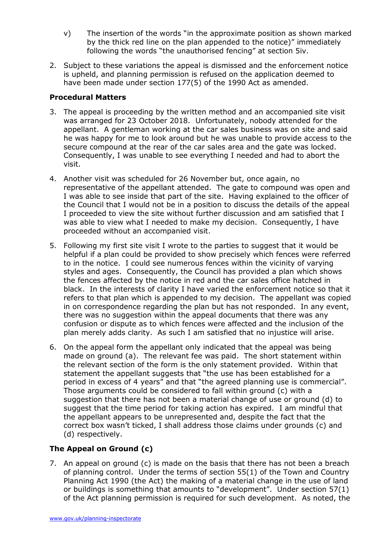- by the thick red line on the plan appended to the notice)" immediately following the words "the unauthorised fencing" at section 5iv. v) The insertion of the words "in the approximate position as shown marked
- 2. Subject to these variations the appeal is dismissed and the enforcement notice is upheld, and planning permission is refused on the application deemed to have been made under section 177(5) of the 1990 Act as amended.

## **Procedural Matters**

- 3. The appeal is proceeding by the written method and an accompanied site visit was arranged for 23 October 2018. Unfortunately, nobody attended for the appellant. A gentleman working at the car sales business was on site and said he was happy for me to look around but he was unable to provide access to the secure compound at the rear of the car sales area and the gate was locked. Consequently, I was unable to see everything I needed and had to abort the visit.
- representative of the appellant attended. The gate to compound was open and I was able to see inside that part of the site. Having explained to the officer of the Council that I would not be in a position to discuss the details of the appeal I proceeded to view the site without further discussion and am satisfied that I was able to view what I needed to make my decision. Consequently, I have proceeded without an accompanied visit. 4. Another visit was scheduled for 26 November but, once again, no
- 5. Following my first site visit I wrote to the parties to suggest that it would be helpful if a plan could be provided to show precisely which fences were referred to in the notice. I could see numerous fences within the vicinity of varying styles and ages. Consequently, the Council has provided a plan which shows the fences affected by the notice in red and the car sales office hatched in black. In the interests of clarity I have varied the enforcement notice so that it refers to that plan which is appended to my decision. The appellant was copied in on correspondence regarding the plan but has not responded. In any event, there was no suggestion within the appeal documents that there was any plan merely adds clarity. As such I am satisfied that no injustice will arise. confusion or dispute as to which fences were affected and the inclusion of the
- 6. On the appeal form the appellant only indicated that the appeal was being made on ground (a). The relevant fee was paid. The short statement within the relevant section of the form is the only statement provided. Within that statement the appellant suggests that "the use has been established for a period in excess of 4 years" and that "the agreed planning use is commercial". Those arguments could be considered to fall within ground (c) with a suggestion that there has not been a material change of use or ground (d) to suggest that the time period for taking action has expired. I am mindful that correct box wasn't ticked, I shall address those claims under grounds (c) and (d) respectively. the appellant appears to be unrepresented and, despite the fact that the

## **The Appeal on Ground (c)**

 7. An appeal on ground (c) is made on the basis that there has not been a breach of planning control. Under the terms of section 55(1) of the Town and Country Planning Act 1990 (the Act) the making of a material change in the use of land or buildings is something that amounts to "development". Under section 57(1) of the Act planning permission is required for such development. As noted, the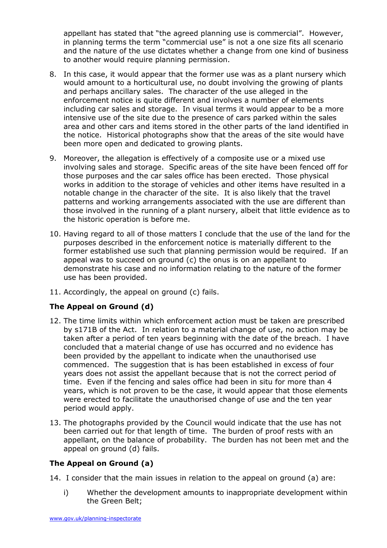appellant has stated that "the agreed planning use is commercial". However, in planning terms the term "commercial use" is not a one size fits all scenario and the nature of the use dictates whether a change from one kind of business to another would require planning permission.

- 8. In this case, it would appear that the former use was as a plant nursery which would amount to a horticultural use, no doubt involving the growing of plants and perhaps ancillary sales. The character of the use alleged in the enforcement notice is quite different and involves a number of elements including car sales and storage. In visual terms it would appear to be a more the notice. Historical photographs show that the areas of the site would have been more open and dedicated to growing plants. intensive use of the site due to the presence of cars parked within the sales area and other cars and items stored in the other parts of the land identified in
- 9. Moreover, the allegation is effectively of a composite use or a mixed use involving sales and storage. Specific areas of the site have been fenced off for those purposes and the car sales office has been erected. Those physical works in addition to the storage of vehicles and other items have resulted in a notable change in the character of the site. It is also likely that the travel patterns and working arrangements associated with the use are different than those involved in the running of a plant nursery, albeit that little evidence as to the historic operation is before me.
- 10. Having regard to all of those matters I conclude that the use of the land for the purposes described in the enforcement notice is materially different to the former established use such that planning permission would be required. If an appeal was to succeed on ground (c) the onus is on an appellant to demonstrate his case and no information relating to the nature of the former use has been provided.
- 11. Accordingly, the appeal on ground (c) fails.

## **The Appeal on Ground (d)**

- by s171B of the Act. In relation to a material change of use, no action may be taken after a period of ten years beginning with the date of the breach. I have concluded that a material change of use has occurred and no evidence has commenced. The suggestion that is has been established in excess of four time. Even if the fencing and sales office had been in situ for more than 4 years, which is not proven to be the case, it would appear that those elements were erected to facilitate the unauthorised change of use and the ten year period would apply. 12. The time limits within which enforcement action must be taken are prescribed been provided by the appellant to indicate when the unauthorised use years does not assist the appellant because that is not the correct period of
- 13. The photographs provided by the Council would indicate that the use has not been carried out for that length of time. The burden of proof rests with an appellant, on the balance of probability. The burden has not been met and the appeal on ground (d) fails.

## **The Appeal on Ground (a)**

- 14. I consider that the main issues in relation to the appeal on ground (a) are:
	- i) Whether the development amounts to inappropriate development within the Green Belt;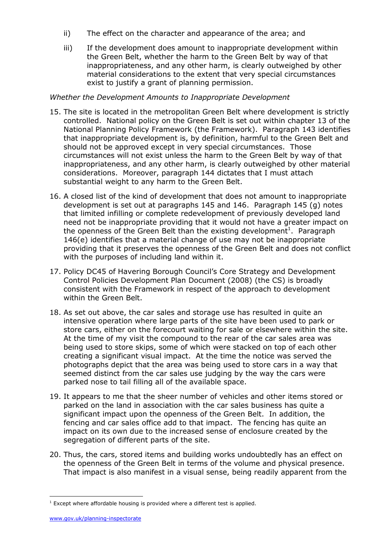- ii) The effect on the character and appearance of the area; and
- iii) If the development does amount to inappropriate development within the Green Belt, whether the harm to the Green Belt by way of that inappropriateness, and any other harm, is clearly outweighed by other material considerations to the extent that very special circumstances exist to justify a grant of planning permission.

## *Whether the Development Amounts to Inappropriate Development*

- 15. The site is located in the metropolitan Green Belt where development is strictly controlled. National policy on the Green Belt is set out within chapter 13 of the National Planning Policy Framework (the Framework). Paragraph 143 identifies that inappropriate development is, by definition, harmful to the Green Belt and should not be approved except in very special circumstances. Those circumstances will not exist unless the harm to the Green Belt by way of that inappropriateness, and any other harm, is clearly outweighed by other material considerations. Moreover, paragraph 144 dictates that I must attach substantial weight to any harm to the Green Belt.
- 16. A closed list of the kind of development that does not amount to inappropriate development is set out at paragraphs 145 and 146. Paragraph 145 (g) notes that limited infilling or complete redevelopment of previously developed land need not be inappropriate providing that it would not have a greater impact on the openness of the Green Belt than the existing development<sup>1</sup>. Paragraph 146(e) identifies that a material change of use may not be inappropriate providing that it preserves the openness of the Green Belt and does not conflict with the purposes of including land within it.
- 17. Policy DC45 of Havering Borough Council's Core Strategy and Development Control Policies Development Plan Document (2008) (the CS) is broadly consistent with the Framework in respect of the approach to development within the Green Belt.
- 18. As set out above, the car sales and storage use has resulted in quite an intensive operation where large parts of the site have been used to park or store cars, either on the forecourt waiting for sale or elsewhere within the site. At the time of my visit the compound to the rear of the car sales area was being used to store skips, some of which were stacked on top of each other creating a significant visual impact. At the time the notice was served the photographs depict that the area was being used to store cars in a way that seemed distinct from the car sales use judging by the way the cars were parked nose to tail filling all of the available space.
- parked on the land in association with the car sales business has quite a significant impact upon the openness of the Green Belt. In addition, the fencing and car sales office add to that impact. The fencing has quite an impact on its own due to the increased sense of enclosure created by the segregation of different parts of the site. 19. It appears to me that the sheer number of vehicles and other items stored or
- segregation of different parts of the site. 20. Thus, the cars, stored items and building works undoubtedly has an effect on the openness of the Green Belt in terms of the volume and physical presence. That impact is also manifest in a visual sense, being readily apparent from the

j

 $1$  Except where affordable housing is provided where a different test is applied.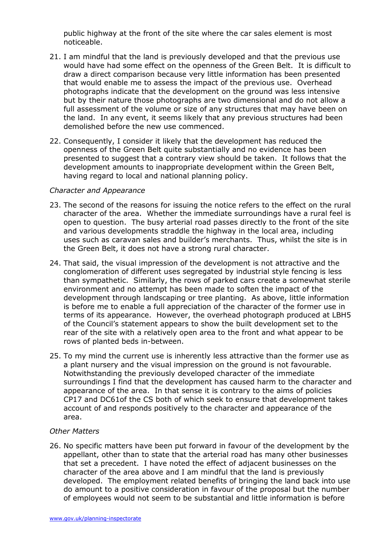public highway at the front of the site where the car sales element is most noticeable.

- noticeable. 21. I am mindful that the land is previously developed and that the previous use would have had some effect on the openness of the Green Belt. It is difficult to that would enable me to assess the impact of the previous use. Overhead photographs indicate that the development on the ground was less intensive but by their nature those photographs are two dimensional and do not allow a full assessment of the volume or size of any structures that may have been on the land. In any event, it seems likely that any previous structures had been demolished before the new use commenced. draw a direct comparison because very little information has been presented
- demolished before the new use commenced. 22. Consequently, I consider it likely that the development has reduced the openness of the Green Belt quite substantially and no evidence has been presented to suggest that a contrary view should be taken. It follows that the having regard to local and national planning policy. development amounts to inappropriate development within the Green Belt,

### *Character and Appearance*

- character of the area. Whether the immediate surroundings have a rural feel is open to question. The busy arterial road passes directly to the front of the site and various developments straddle the highway in the local area, including uses such as caravan sales and builder's merchants. Thus, whilst the site is in the Green Belt, it does not have a strong rural character. 23. The second of the reasons for issuing the notice refers to the effect on the rural
- 24. That said, the visual impression of the development is not attractive and the conglomeration of different uses segregated by industrial style fencing is less than sympathetic. Similarly, the rows of parked cars create a somewhat sterile environment and no attempt has been made to soften the impact of the development through landscaping or tree planting. As above, little information is before me to enable a full appreciation of the character of the former use in terms of its appearance. However, the overhead photograph produced at LBH5 rear of the site with a relatively open area to the front and what appear to be rows of planted beds in-between. of the Council's statement appears to show the built development set to the
- rows of planted beds in-between. 25. To my mind the current use is inherently less attractive than the former use as a plant nursery and the visual impression on the ground is not favourable. Notwithstanding the previously developed character of the immediate surroundings I find that the development has caused harm to the character and appearance of the area. In that sense it is contrary to the aims of policies CP17 and DC61of the CS both of which seek to ensure that development takes account of and responds positively to the character and appearance of the area.

### *Other Matters*

 26. No specific matters have been put forward in favour of the development by the appellant, other than to state that the arterial road has many other businesses that set a precedent. I have noted the effect of adjacent businesses on the character of the area above and I am mindful that the land is previously developed. The employment related benefits of bringing the land back into use do amount to a positive consideration in favour of the proposal but the number of employees would not seem to be substantial and little information is before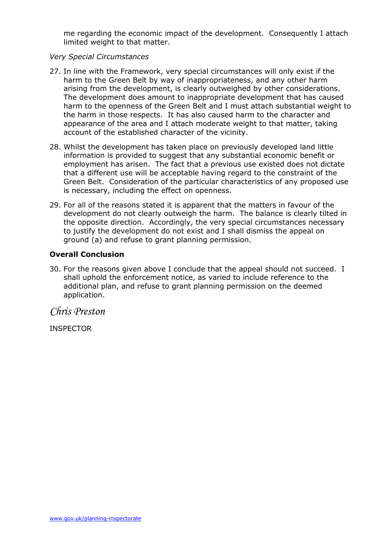me regarding the economic impact of the development. Consequently I attach limited weight to that matter.

### *Very Special Circumstances*

- 27. In line with the Framework, very special circumstances will only exist if the harm to the Green Belt by way of inappropriateness, and any other harm arising from the development, is clearly outweighed by other considerations. harm to the openness of the Green Belt and I must attach substantial weight to the harm in those respects. It has also caused harm to the character and appearance of the area and I attach moderate weight to that matter, taking account of the established character of the vicinity. The development does amount to inappropriate development that has caused
- 28. Whilst the development has taken place on previously developed land little employment has arisen. The fact that a previous use existed does not dictate that a different use will be acceptable having regard to the constraint of the Green Belt. Consideration of the particular characteristics of any proposed use is necessary, including the effect on openness. information is provided to suggest that any substantial economic benefit or
- 29. For all of the reasons stated it is apparent that the matters in favour of the development do not clearly outweigh the harm. The balance is clearly tilted in the opposite direction. Accordingly, the very special circumstances necessary to justify the development do not exist and I shall dismiss the appeal on ground (a) and refuse to grant planning permission.

## **Overall Conclusion**

 30. For the reasons given above I conclude that the appeal should not succeed. I shall uphold the enforcement notice, as varied to include reference to the additional plan, and refuse to grant planning permission on the deemed application.

*Chris Preston* 

INSPECTOR